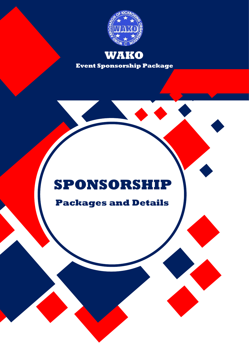

**Event Sponsorship Package WAKO**

## **SPONSORSHIP**

**Packages and Details**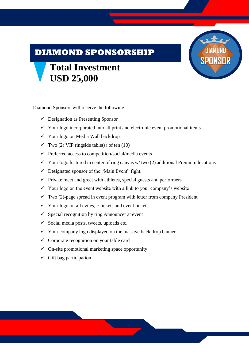#### **DIAMOND SPONSORSHIP**

# **DIAMOND SPONSOR**

#### **Total Investment USD 25,000**

Diamond Sponsors will receive the following:

- $\checkmark$  Designation as Presenting Sponsor
- $\checkmark$  Your logo incorporated into all print and electronic event promotional items
- ✓ Your logo on Media Wall backdrop
- $\checkmark$  Two (2) VIP ringside table(s) of ten (10)
- $\checkmark$  Preferred access to competition/social/media events
- $\checkmark$  Your logo featured in center of ring canvas w/two (2) additional Premium locations
- $\checkmark$  Designated sponsor of the "Main Event" fight.
- $\checkmark$  Private meet and greet with athletes, special guests and performers
- $\checkmark$  Your logo on the event website with a link to your company's website
- $\checkmark$  Two (2)-page spread in event program with letter from company President
- $\checkmark$  Your logo on all evites, e-tickets and event tickets
- $\checkmark$  Special recognition by ring Announcer at event
- $\checkmark$  Social media posts, tweets, uploads etc.
- $\checkmark$  Your company logo displayed on the massive back drop banner
- $\checkmark$  Corporate recognition on your table card
- $\checkmark$  On-site promotional marketing space opportunity
- $\checkmark$  Gift bag participation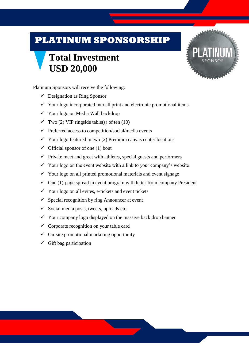#### **PLATINUM SPONSORSHIP**

## **Total Investment USD 20,000**



Platinum Sponsors will receive the following:

- $\checkmark$  Designation as Ring Sponsor
- ✓ Your logo incorporated into all print and electronic promotional items
- ✓ Your logo on Media Wall backdrop
- $\checkmark$  Two (2) VIP ringside table(s) of ten (10)
- $\checkmark$  Preferred access to competition/social/media events
- $\checkmark$  Your logo featured in two (2) Premium canvas center locations
- $\checkmark$  Official sponsor of one (1) bout
- $\checkmark$  Private meet and greet with athletes, special guests and performers
- $\checkmark$  Your logo on the event website with a link to your company's website
- $\checkmark$  Your logo on all printed promotional materials and event signage
- $\checkmark$  One (1)-page spread in event program with letter from company President
- $\checkmark$  Your logo on all evites, e-tickets and event tickets
- $\checkmark$  Special recognition by ring Announcer at event
- $\checkmark$  Social media posts, tweets, uploads etc.
- $\checkmark$  Your company logo displayed on the massive back drop banner
- $\checkmark$  Corporate recognition on your table card
- $\checkmark$  On-site promotional marketing opportunity
- $\checkmark$  Gift bag participation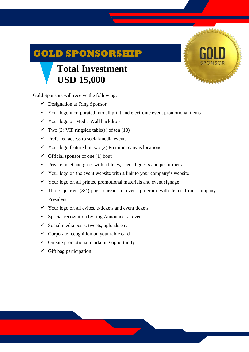### **GOLD SPONSORSHIP**

## **Total Investment USD 15,000**

Gold Sponsors will receive the following:

- $\checkmark$  Designation as Ring Sponsor
- $\checkmark$  Your logo incorporated into all print and electronic event promotional items
- ✓ Your logo on Media Wall backdrop
- $\checkmark$  Two (2) VIP ringside table(s) of ten (10)
- $\checkmark$  Preferred access to social/media events
- $\checkmark$  Your logo featured in two (2) Premium canvas locations
- $\checkmark$  Official sponsor of one (1) bout
- $\checkmark$  Private meet and greet with athletes, special guests and performers
- $\checkmark$  Your logo on the event website with a link to your company's website
- $\checkmark$  Your logo on all printed promotional materials and event signage
- $\checkmark$  Three quarter (3/4)-page spread in event program with letter from company President
- $\checkmark$  Your logo on all evites, e-tickets and event tickets
- $\checkmark$  Special recognition by ring Announcer at event
- $\checkmark$  Social media posts, tweets, uploads etc.
- $\checkmark$  Corporate recognition on your table card
- $\checkmark$  On-site promotional marketing opportunity
- $\checkmark$  Gift bag participation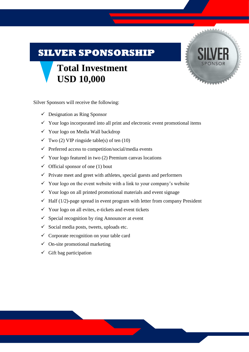#### **SILVER SPONSORSHIP**

## **Total Investment USD 10,000**



Silver Sponsors will receive the following:

- $\checkmark$  Designation as Ring Sponsor
- $\checkmark$  Your logo incorporated into all print and electronic event promotional items
- ✓ Your logo on Media Wall backdrop
- $\checkmark$  Two (2) VIP ringside table(s) of ten (10)
- $\checkmark$  Preferred access to competition/social/media events
- $\checkmark$  Your logo featured in two (2) Premium canvas locations
- $\checkmark$  Official sponsor of one (1) bout
- $\checkmark$  Private meet and greet with athletes, special guests and performers
- $\checkmark$  Your logo on the event website with a link to your company's website
- $\checkmark$  Your logo on all printed promotional materials and event signage
- $\checkmark$  Half (1/2)-page spread in event program with letter from company President
- $\checkmark$  Your logo on all evites, e-tickets and event tickets
- $\checkmark$  Special recognition by ring Announcer at event
- $\checkmark$  Social media posts, tweets, uploads etc.
- $\checkmark$  Corporate recognition on your table card
- $\checkmark$  On-site promotional marketing
- $\checkmark$  Gift bag participation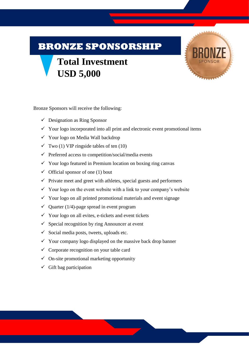#### **BRONZE SPONSORSHIP**

## **Total Investment USD 5,000**



Bronze Sponsors will receive the following:

- $\checkmark$  Designation as Ring Sponsor
- $\checkmark$  Your logo incorporated into all print and electronic event promotional items
- ✓ Your logo on Media Wall backdrop
- $\checkmark$  Two (1) VIP ringside tables of ten (10)
- $\checkmark$  Preferred access to competition/social/media events
- $\checkmark$  Your logo featured in Premium location on boxing ring canvas
- $\checkmark$  Official sponsor of one (1) bout
- $\checkmark$  Private meet and greet with athletes, special guests and performers
- $\checkmark$  Your logo on the event website with a link to your company's website
- $\checkmark$  Your logo on all printed promotional materials and event signage
- $\checkmark$  Quarter (1/4)-page spread in event program
- $\checkmark$  Your logo on all evites, e-tickets and event tickets
- $\checkmark$  Special recognition by ring Announcer at event
- $\checkmark$  Social media posts, tweets, uploads etc.
- $\checkmark$  Your company logo displayed on the massive back drop banner
- $\checkmark$  Corporate recognition on your table card
- $\checkmark$  On-site promotional marketing opportunity
- $\checkmark$  Gift bag participation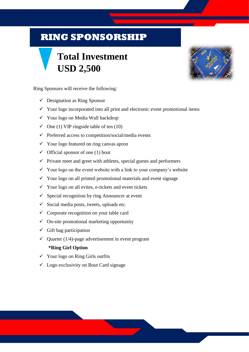#### **RING SPONSORSHIP**

## **Total Investment USD 2,500**



Ring Sponsors will receive the following:

- $\checkmark$  Designation as Ring Sponsor
- $\checkmark$  Your logo incorporated into all print and electronic event promotional items
- ✓ Your logo on Media Wall backdrop
- $\checkmark$  One (1) VIP ringside table of ten (10)
- $\checkmark$  Preferred access to competition/social/media events
- $\checkmark$  Your logo featured on ring canvas apron
- $\checkmark$  Official sponsor of one (1) bout
- $\checkmark$  Private meet and greet with athletes, special guests and performers
- $\checkmark$  Your logo on the event website with a link to your company's website
- ✓ Your logo on all printed promotional materials and event signage
- $\checkmark$  Your logo on all evites, e-tickets and event tickets
- $\checkmark$  Special recognition by ring Announcer at event
- $\checkmark$  Social media posts, tweets, uploads etc.
- $\checkmark$  Corporate recognition on your table card
- $\checkmark$  On-site promotional marketing opportunity
- $\checkmark$  Gift bag participation
- $\checkmark$  Quarter (1/4)-page advertisement in event program

#### **\*Ring Girl Option**

- $\checkmark$  Your logo on Ring Girls outfits
- $\checkmark$  Logo exclusivity on Bout Card signage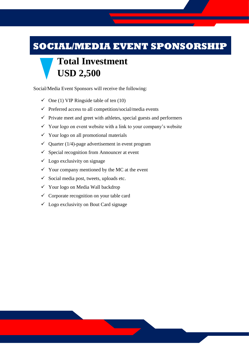#### **SOCIAL/MEDIA EVENT SPONSORSHIP**

## **Total Investment USD 2,500**

Social/Media Event Sponsors will receive the following:

- $\checkmark$  One (1) VIP Ringside table of ten (10)
- $\checkmark$  Preferred access to all competition/social/media events
- $\checkmark$  Private meet and greet with athletes, special guests and performers
- $\checkmark$  Your logo on event website with a link to your company's website
- $\checkmark$  Your logo on all promotional materials
- $\checkmark$  Quarter (1/4)-page advertisement in event program
- $\checkmark$  Special recognition from Announcer at event
- $\checkmark$  Logo exclusivity on signage
- $\checkmark$  Your company mentioned by the MC at the event
- $\checkmark$  Social media post, tweets, uploads etc.
- ✓ Your logo on Media Wall backdrop
- $\checkmark$  Corporate recognition on your table card
- $\checkmark$  Logo exclusivity on Bout Card signage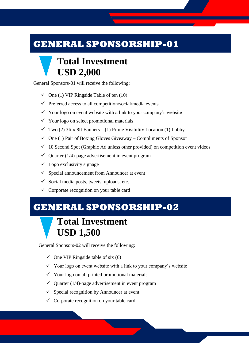#### **GENERAL SPONSORSHIP-01**

#### **Total Investment USD 2,000**

General Sponsors-01 will receive the following:

- $\checkmark$  One (1) VIP Ringside Table of ten (10)
- $\checkmark$  Preferred access to all competition/social/media events
- $\checkmark$  Your logo on event website with a link to your company's website
- $\checkmark$  Your logo on select promotional materials
- $\checkmark$  Two (2) 3ft x 8ft Banners (1) Prime Visibility Location (1) Lobby
- $\checkmark$  One (1) Pair of Boxing Gloves Giveaway Compliments of Sponsor
- $\checkmark$  10 Second Spot (Graphic Ad unless other provided) on competition event videos
- $\checkmark$  Quarter (1/4)-page advertisement in event program
- $\checkmark$  Logo exclusivity signage
- $\checkmark$  Special announcement from Announcer at event
- $\checkmark$  Social media posts, tweets, uploads, etc.
- $\checkmark$  Corporate recognition on your table card

#### **GENERAL SPONSORSHIP-02**

#### **Total Investment USD 1,500**

General Sponsors-02 will receive the following:

- $\checkmark$  One VIP Ringside table of six (6)
- $\checkmark$  Your logo on event website with a link to your company's website
- $\checkmark$  Your logo on all printed promotional materials
- $\checkmark$  Quarter (1/4)-page advertisement in event program
- $\checkmark$  Special recognition by Announcer at event
- $\checkmark$  Corporate recognition on your table card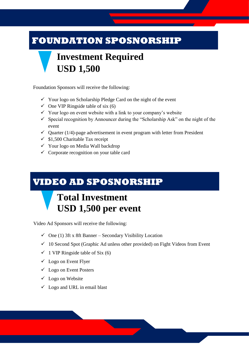#### **FOUNDATION SPOSNORSHIP**

## **Investment Required USD 1,500**

Foundation Sponsors will receive the following:

- ✓ Your logo on Scholarship Pledge Card on the night of the event
- $\checkmark$  One VIP Ringside table of six (6)
- $\checkmark$  Your logo on event website with a link to your company's website
- $\checkmark$  Special recognition by Announcer during the "Scholarship Ask" on the night of the event
- $\checkmark$  Quarter (1/4)-page advertisement in event program with letter from President
- $\checkmark$  \$1,500 Charitable Tax receipt
- ✓ Your logo on Media Wall backdrop
- $\checkmark$  Corporate recognition on your table card

#### **VIDEO AD SPOSNORSHIP**

### **Total Investment USD 1,500 per event**

Video Ad Sponsors will receive the following:

- $\checkmark$  One (1) 3ft x 8ft Banner Secondary Visibility Location
- $\checkmark$  10 Second Spot (Graphic Ad unless other provided) on Fight Videos from Event
- $\checkmark$  1 VIP Ringside table of Six (6)
- $\checkmark$  Logo on Event Flyer
- $\checkmark$  Logo on Event Posters
- $\checkmark$  Logo on Website
- $\checkmark$  Logo and URL in email blast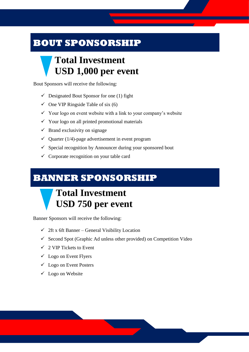#### **BOUT SPONSORSHIP**

#### **Total Investment USD 1,000 per event**

Bout Sponsors will receive the following:

- $\checkmark$  Designated Bout Sponsor for one (1) fight
- $\checkmark$  One VIP Ringside Table of six (6)
- $\checkmark$  Your logo on event website with a link to your company's website
- $\checkmark$  Your logo on all printed promotional materials
- $\checkmark$  Brand exclusivity on signage
- $\checkmark$  Quarter (1/4)-page advertisement in event program
- $\checkmark$  Special recognition by Announcer during your sponsored bout
- $\checkmark$  Corporate recognition on your table card

#### **BANNER SPONSORSHIP**

#### **Total Investment USD 750 per event**

Banner Sponsors will receive the following:

- $\checkmark$  2ft x 6ft Banner General Visibility Location
- $\checkmark$  Second Spot (Graphic Ad unless other provided) on Competition Video
- $\checkmark$  2 VIP Tickets to Event
- $\checkmark$  Logo on Event Flyers
- $\checkmark$  Logo on Event Posters
- $\checkmark$  Logo on Website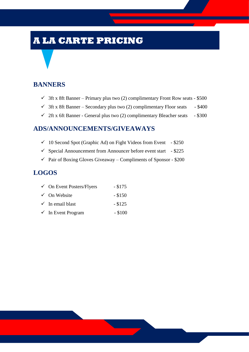#### **A LA CARTE PRICING**

#### **BANNERS**

- $\checkmark$  3ft x 8ft Banner Primary plus two (2) complimentary Front Row seats \$500
- $\checkmark$  3ft x 8ft Banner Secondary plus two (2) complimentary Floor seats \$400
- $\checkmark$  2ft x 6ft Banner General plus two (2) complimentary Bleacher seats \$300

#### **ADS/ANNOUNCEMENTS/GIVEAWAYS**

- $\checkmark$  10 Second Spot (Graphic Ad) on Fight Videos from Event \$250
- $\checkmark$  Special Announcement from Announcer before event start \$225
- $\checkmark$  Pair of Boxing Gloves Giveaway Compliments of Sponsor \$200

#### **LOGOS**

| $\checkmark$ On Event Posters/Flyers | $-$ \$175 |
|--------------------------------------|-----------|
| $\checkmark$ On Website              | $-$ \$150 |
| $\checkmark$ In email blast          | $-$ \$125 |
| $\checkmark$ In Event Program        | $-$ \$100 |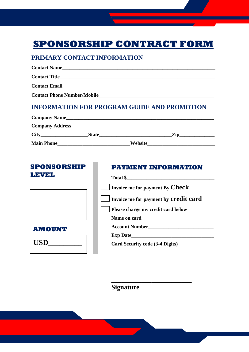#### **SPONSORSHIP CONTRACT FORM**

#### **PRIMARY CONTACT INFORMATION**

| <b>Contact Name</b><br><u> 1989 - John Stoff, der der Stoff, der Stoff, der Stoff, der Stoff, der Stoff, der Stoff, der Stoff, der Stoff, </u>                                                                                     |
|------------------------------------------------------------------------------------------------------------------------------------------------------------------------------------------------------------------------------------|
| <b>Contact Title</b>                                                                                                                                                                                                               |
| <b>Contact Email</b> Contact Email Services of the Services of the Services of the Services of the Services of the Services of the Services of the Services of the Services of the Services of the Services of the Services of the |
| <b>Contact Phone Number/Mobile</b>                                                                                                                                                                                                 |
|                                                                                                                                                                                                                                    |

#### **INFORMATION FOR PROGRAM GUIDE AND PROMOTION**

| <b>Company Name_</b>    |              |         |     |  |
|-------------------------|--------------|---------|-----|--|
| <b>Company Address_</b> |              |         |     |  |
| <b>City</b>             | <b>State</b> |         | Zin |  |
| <b>Main Phone</b>       |              | Website |     |  |

#### **PAYMENT INFORMATION Total \$\_\_\_\_\_\_\_\_\_\_\_\_\_\_\_\_\_\_\_\_\_\_\_\_\_\_\_\_\_\_\_\_\_\_\_ Invoice me for payment By Check Invoice me for payment by credit card Please charge my credit card below** Name on card **Account Number\_\_\_\_\_\_\_\_\_\_\_\_\_\_\_\_\_\_\_\_\_\_\_\_\_\_ Exp Date Card Security code (3-4 Digits) \_\_\_\_\_\_\_\_\_\_\_\_\_\_ SPONSORSHIP LEVEL AMOUNT**  $\bf USD$

**Signature** 

**\_\_\_\_\_\_\_\_\_\_\_\_\_\_\_\_\_\_\_\_\_\_\_\_**